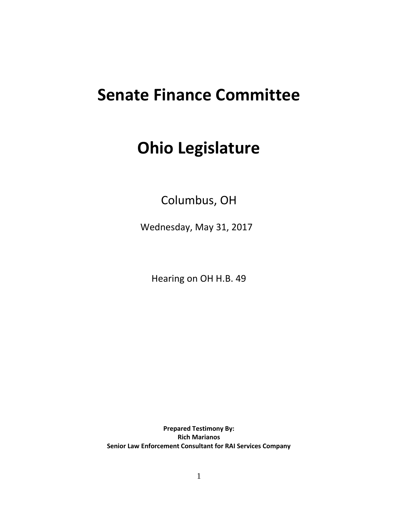## **Senate Finance Committee**

## **Ohio Legislature**

Columbus, OH

Wednesday, May 31, 2017

Hearing on OH H.B. 49

**Prepared Testimony By: Rich Marianos Senior Law Enforcement Consultant for RAI Services Company**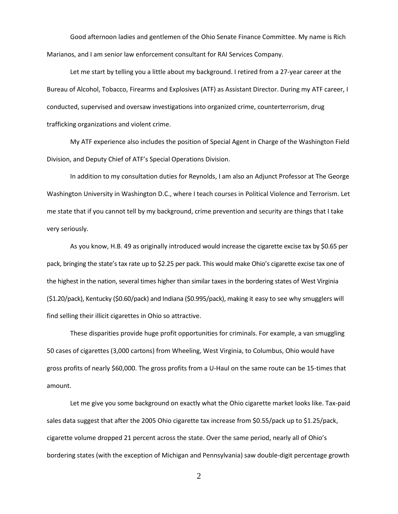Good afternoon ladies and gentlemen of the Ohio Senate Finance Committee. My name is Rich Marianos, and I am senior law enforcement consultant for RAI Services Company.

Let me start by telling you a little about my background. I retired from a 27-year career at the Bureau of Alcohol, Tobacco, Firearms and Explosives (ATF) as Assistant Director. During my ATF career, I conducted, supervised and oversaw investigations into organized crime, counterterrorism, drug trafficking organizations and violent crime.

My ATF experience also includes the position of Special Agent in Charge of the Washington Field Division, and Deputy Chief of ATF's Special Operations Division.

In addition to my consultation duties for Reynolds, I am also an Adjunct Professor at The George Washington University in Washington D.C., where I teach courses in Political Violence and Terrorism. Let me state that if you cannot tell by my background, crime prevention and security are things that I take very seriously.

As you know, H.B. 49 as originally introduced would increase the cigarette excise tax by \$0.65 per pack, bringing the state's tax rate up to \$2.25 per pack. This would make Ohio's cigarette excise tax one of the highest in the nation, several times higher than similar taxes in the bordering states of West Virginia (\$1.20/pack), Kentucky (\$0.60/pack) and Indiana (\$0.995/pack), making it easy to see why smugglers will find selling their illicit cigarettes in Ohio so attractive.

These disparities provide huge profit opportunities for criminals. For example, a van smuggling 50 cases of cigarettes (3,000 cartons) from Wheeling, West Virginia, to Columbus, Ohio would have gross profits of nearly \$60,000. The gross profits from a U-Haul on the same route can be 15-times that amount.

Let me give you some background on exactly what the Ohio cigarette market looks like. Tax-paid sales data suggest that after the 2005 Ohio cigarette tax increase from \$0.55/pack up to \$1.25/pack, cigarette volume dropped 21 percent across the state. Over the same period, nearly all of Ohio's bordering states (with the exception of Michigan and Pennsylvania) saw double-digit percentage growth

2